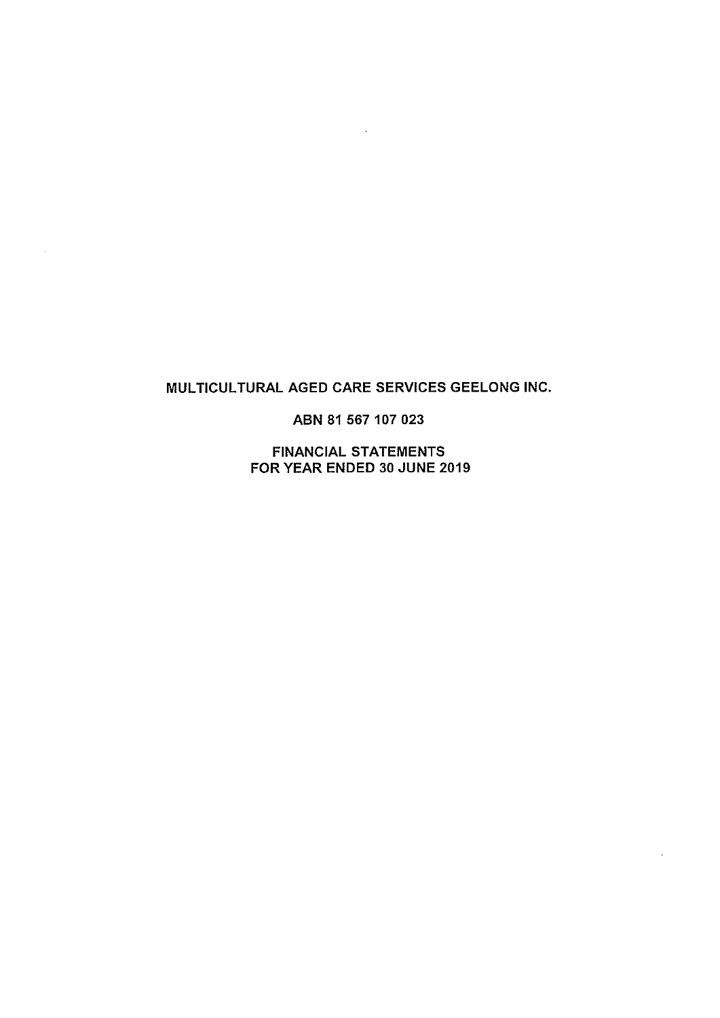# MULTICULTURAL AGED CARE SERVICES GEELONG INC.

 $\sim$ 

ABN 81 567 107 023

**FINANCIAL STATEMENTS** FOR YEAR ENDED 30 JUNE 2019

 $\overline{\phantom{a}}$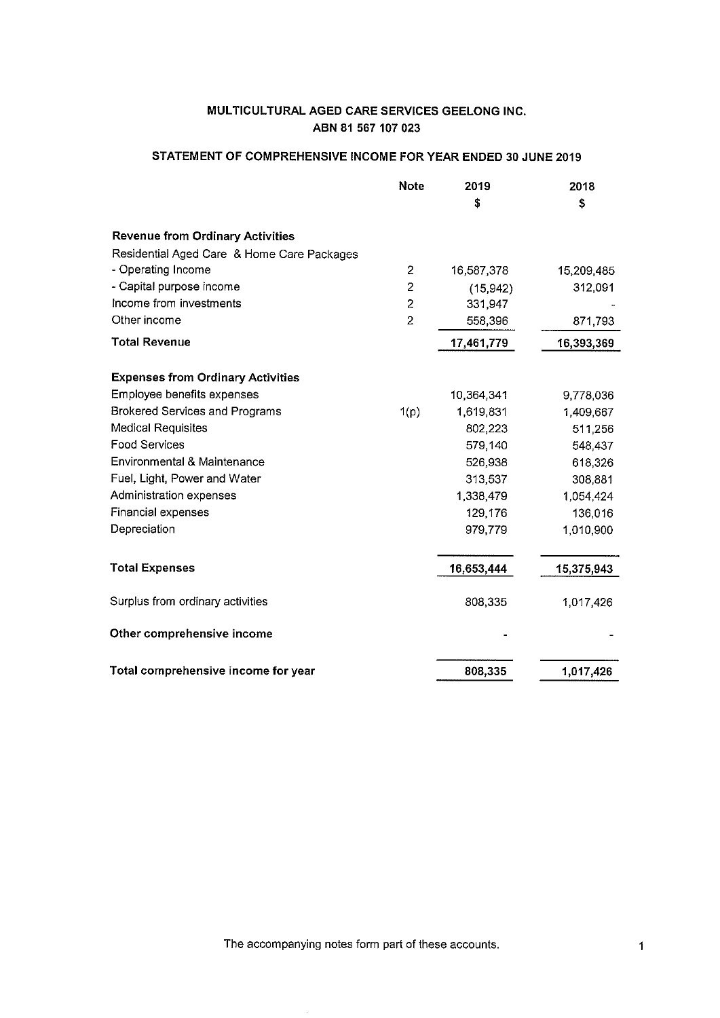# STATEMENT OF COMPREHENSIVE INCOME FOR YEAR ENDED 30 JUNE 2019

| <b>Note</b>                                | 2019<br>S  | 2018<br>\$ |
|--------------------------------------------|------------|------------|
| <b>Revenue from Ordinary Activities</b>    |            |            |
| Residential Aged Care & Home Care Packages |            |            |
| - Operating Income<br>2                    | 16,587,378 | 15,209,485 |
| - Capital purpose income<br>2              | (15, 942)  | 312,091    |
| Income from investments<br>2               | 331,947    |            |
| Other income<br>$\overline{2}$             | 558,396    | 871,793    |
| <b>Total Revenue</b>                       | 17,461,779 | 16,393,369 |
| <b>Expenses from Ordinary Activities</b>   |            |            |
| Employee benefits expenses                 | 10,364,341 | 9,778,036  |
| Brokered Services and Programs<br>1(p)     | 1,619,831  | 1,409,667  |
| <b>Medical Requisites</b>                  | 802,223    | 511,256    |
| <b>Food Services</b>                       | 579,140    | 548,437    |
| <b>Environmental &amp; Maintenance</b>     | 526,938    | 618,326    |
| Fuel, Light, Power and Water               | 313,537    | 308,881    |
| Administration expenses                    | 1,338,479  | 1,054,424  |
| Financial expenses                         | 129,176    | 136,016    |
| Depreciation                               | 979,779    | 1,010,900  |
| <b>Total Expenses</b>                      | 16,653,444 | 15,375,943 |
| Surplus from ordinary activities           | 808,335    | 1,017,426  |
| Other comprehensive income                 |            |            |
| Total comprehensive income for year        | 808,335    | 1,017,426  |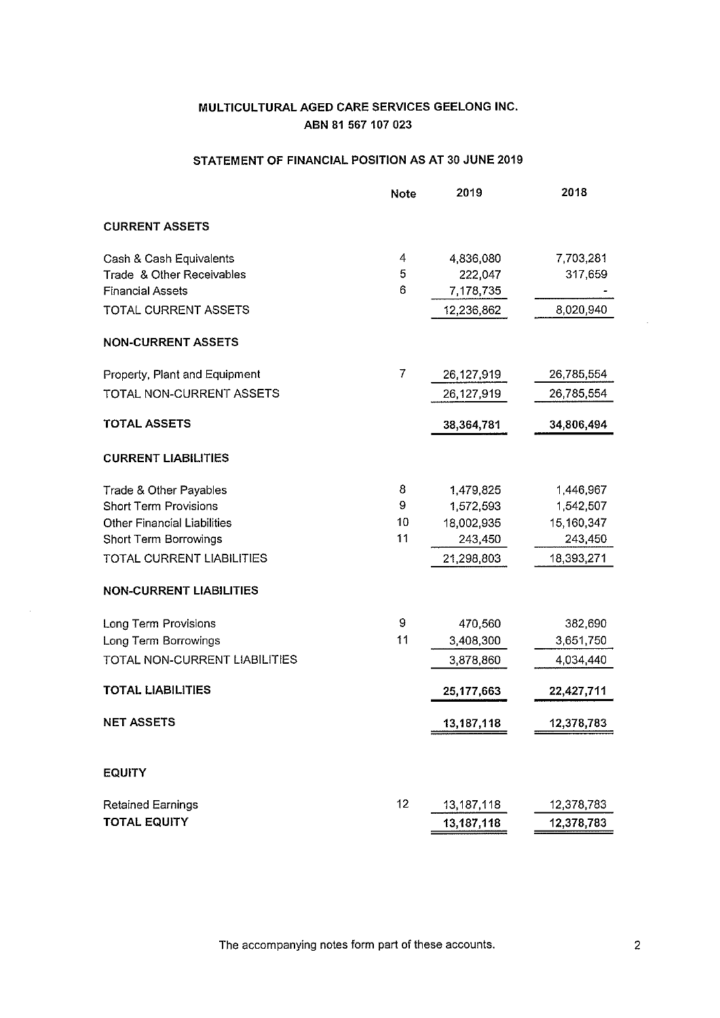# STATEMENT OF FINANCIAL POSITION AS AT 30 JUNE 2019

|                                    | <b>Note</b> | 2019       | 2018       |
|------------------------------------|-------------|------------|------------|
| <b>CURRENT ASSETS</b>              |             |            |            |
| Cash & Cash Equivalents            | 4           | 4,836,080  | 7,703,281  |
| Trade & Other Receivables          | 5           | 222,047    | 317,659    |
| <b>Financial Assets</b>            | 6           | 7,178,735  |            |
| TOTAL CURRENT ASSETS               |             | 12,236,862 | 8,020,940  |
| <b>NON-CURRENT ASSETS</b>          |             |            |            |
| Property, Plant and Equipment      | 7           | 26,127,919 | 26,785,554 |
| TOTAL NON-CURRENT ASSETS           |             | 26,127,919 | 26,785,554 |
| <b>TOTAL ASSETS</b>                |             | 38,364,781 | 34,806,494 |
| <b>CURRENT LIABILITIES</b>         |             |            |            |
| Trade & Other Payables             | 8           | 1,479,825  | 1,446,967  |
| <b>Short Term Provisions</b>       | 9           | 1,572,593  | 1,542,507  |
| <b>Other Financial Liabilities</b> | 10          | 18,002,935 | 15,160,347 |
| <b>Short Term Borrowings</b>       | 11          | 243,450    | 243,450    |
| TOTAL CURRENT LIABILITIES          |             | 21,298,803 | 18,393,271 |
| <b>NON-CURRENT LIABILITIES</b>     |             |            |            |
| Long Term Provisions               | 9           | 470,560    | 382,690    |
| Long Term Borrowings               | 11          | 3,408,300  | 3,651,750  |
| TOTAL NON-CURRENT LIABILITIES      |             | 3,878,860  | 4,034,440  |
| <b>TOTAL LIABILITIES</b>           |             | 25,177,663 | 22,427,711 |
| <b>NET ASSETS</b>                  |             | 13,187,118 | 12,378,783 |
| <b>EQUITY</b>                      |             |            |            |
|                                    |             |            |            |
| <b>Retained Earnings</b>           | 12          | 13,187,118 | 12,378,783 |
| <b>TOTAL EQUITY</b>                |             | 13,187,118 | 12,378,783 |

The accompanying notes form part of these accounts.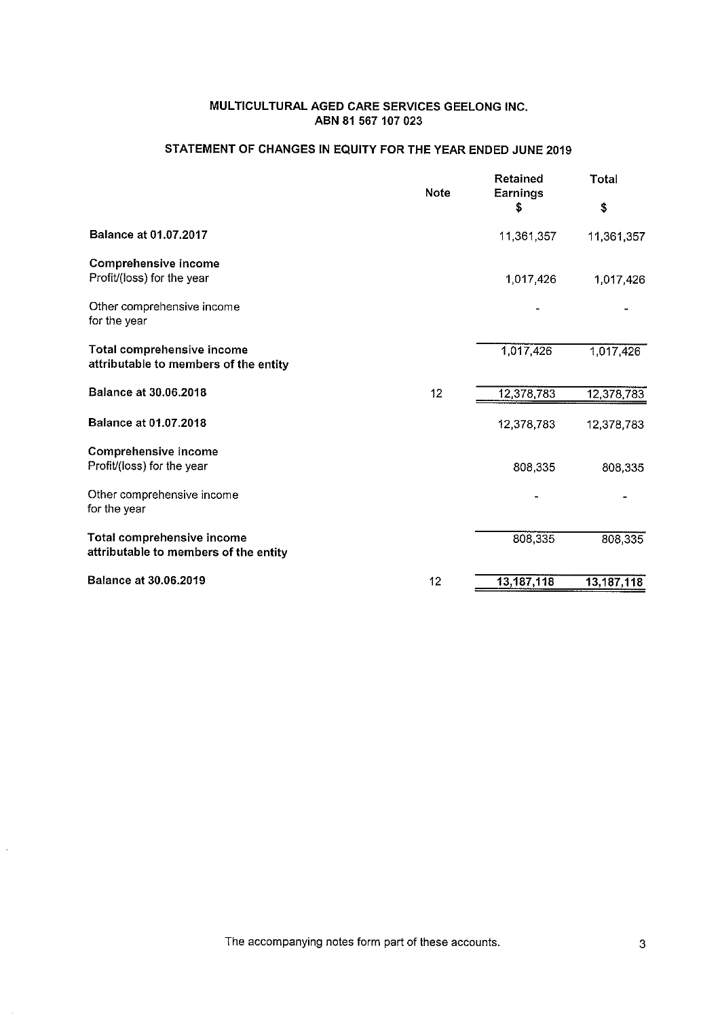# STATEMENT OF CHANGES IN EQUITY FOR THE YEAR ENDED JUNE 2019

|                                                                            | <b>Note</b> | Retained<br>Earnings | <b>Total</b> |
|----------------------------------------------------------------------------|-------------|----------------------|--------------|
|                                                                            |             | \$                   | \$           |
| <b>Balance at 01.07.2017</b>                                               |             | 11,361,357           | 11,361,357   |
| <b>Comprehensive income</b><br>Profit/(loss) for the year                  |             | 1.017.426            | 1,017,426    |
| Other comprehensive income<br>for the year                                 |             |                      |              |
| <b>Total comprehensive income</b><br>attributable to members of the entity |             | 1,017,426            | 1,017,426    |
| <b>Balance at 30.06.2018</b>                                               | 12          | 12,378,783           | 12,378,783   |
| <b>Balance at 01.07.2018</b>                                               |             | 12,378,783           | 12,378,783   |
| <b>Comprehensive income</b>                                                |             |                      |              |
| Profit/(loss) for the year                                                 |             | 808,335              | 808,335      |
| Other comprehensive income<br>for the year                                 |             |                      |              |
| Total comprehensive income<br>attributable to members of the entity        |             | 808,335              | 808,335      |
| <b>Balance at 30.06.2019</b>                                               | 12          | 13, 187, 118         | 13,187,118   |

The accompanying notes form part of these accounts.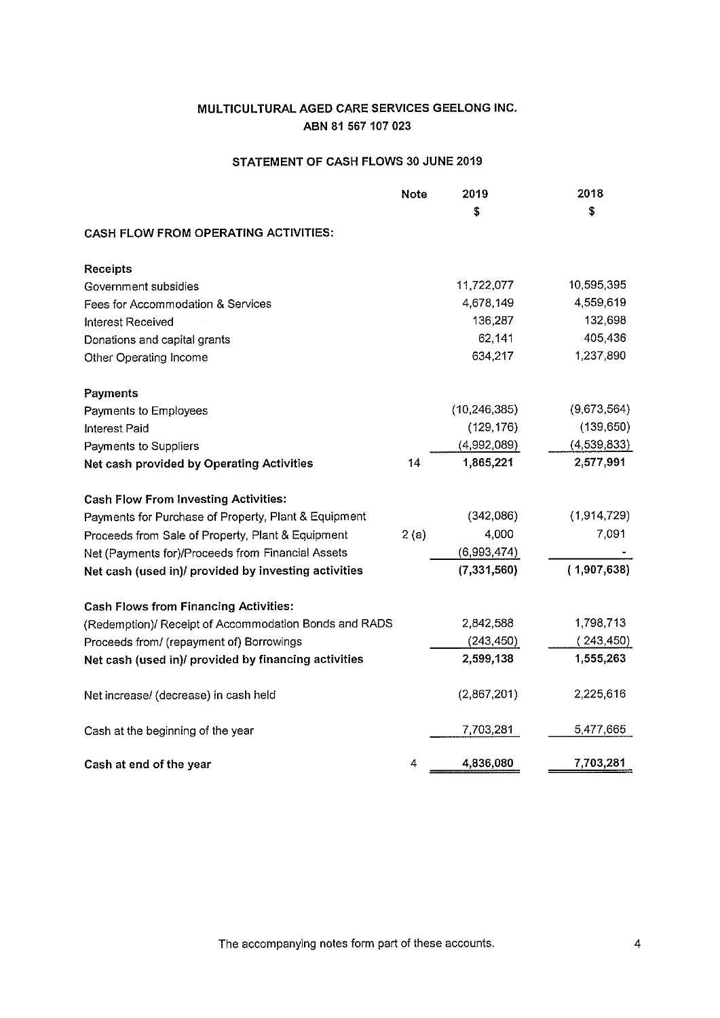# STATEMENT OF CASH FLOWS 30 JUNE 2019

|                                                       | <b>Note</b> | 2019           | 2018        |
|-------------------------------------------------------|-------------|----------------|-------------|
|                                                       |             | S              | \$          |
| <b>CASH FLOW FROM OPERATING ACTIVITIES:</b>           |             |                |             |
| <b>Receipts</b>                                       |             |                |             |
| Government subsidies                                  |             | 11,722,077     | 10,595,395  |
| Fees for Accommodation & Services                     |             | 4,678,149      | 4,559,619   |
| <b>Interest Received</b>                              |             | 136,287        | 132,698     |
| Donations and capital grants                          |             | 62,141         | 405,436     |
| Other Operating Income                                |             | 634,217        | 1,237,890   |
| <b>Payments</b>                                       |             |                |             |
| Payments to Employees                                 |             | (10, 246, 385) | (9,673,564) |
| <b>Interest Paid</b>                                  |             | (129, 176)     | (139, 650)  |
| Payments to Suppliers                                 |             | (4.992,089)    | (4,539,833) |
| Net cash provided by Operating Activities             | 14          | 1,865,221      | 2,577,991   |
| <b>Cash Flow From Investing Activities:</b>           |             |                |             |
| Payments for Purchase of Property, Plant & Equipment  |             | (342,086)      | (1,914,729) |
| Proceeds from Sale of Property, Plant & Equipment     | 2(a)        | 4,000          | 7,091       |
| Net (Payments for)/Proceeds from Financial Assets     |             | (6,993,474)    |             |
| Net cash (used in)/ provided by investing activities  |             | (7, 331, 560)  | (1,907,638) |
| <b>Cash Flows from Financing Activities:</b>          |             |                |             |
| (Redemption)/ Receipt of Accommodation Bonds and RADS |             | 2,842,588      | 1,798,713   |
| Proceeds from/ (repayment of) Borrowings              |             | (243, 450)     | (243, 450)  |
| Net cash (used in)/ provided by financing activities  |             | 2,599,138      | 1,555,263   |
| Net increase/ (decrease) in cash held                 |             | (2,867,201)    | 2,225,616   |
| Cash at the beginning of the year                     |             | 7,703,281      | 5,477,665   |
| Cash at end of the year                               | 4           | 4,836,080      | 7,703,281   |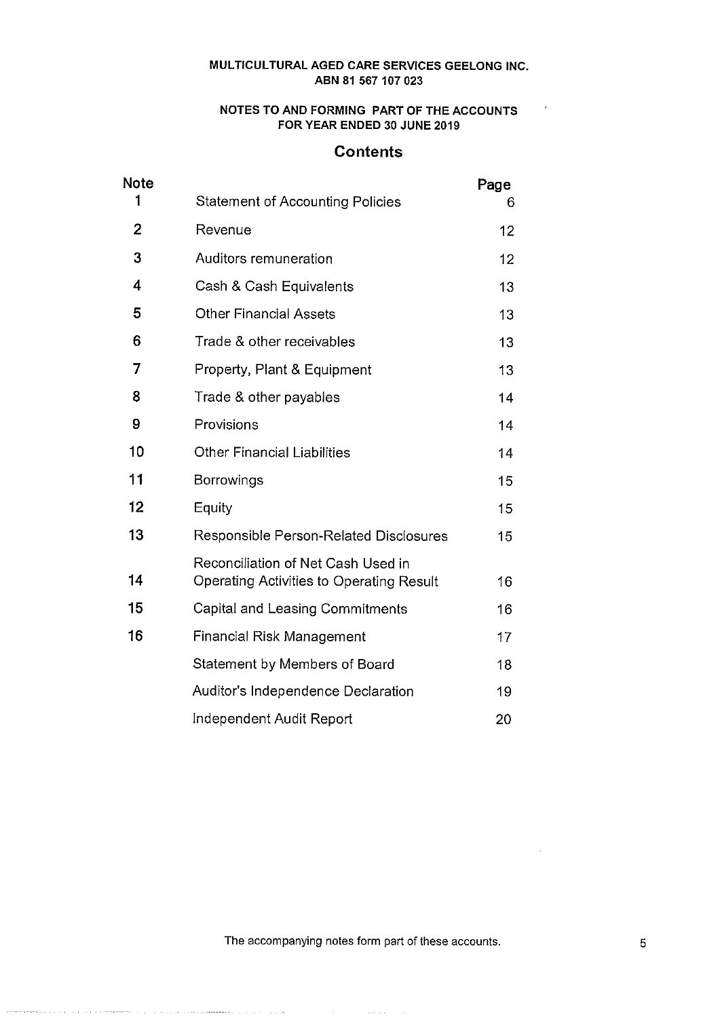# NOTES TO AND FORMING PART OF THE ACCOUNTS FOR YEAR ENDED 30 JUNE 2019

 $\sim 10^{-4}$ 

# **Contents**

| <b>Note</b> |                                                                                       | Page |
|-------------|---------------------------------------------------------------------------------------|------|
| 1           | <b>Statement of Accounting Policies</b>                                               | 6    |
| 2           | Revenue                                                                               | 12   |
| 3           | Auditors remuneration                                                                 | 12   |
| 4           | Cash & Cash Equivalents                                                               | 13   |
| 5           | <b>Other Financial Assets</b>                                                         | 13   |
| 6           | Trade & other receivables                                                             | 13   |
| 7           | Property, Plant & Equipment                                                           | 13   |
| 8           | Trade & other payables                                                                | 14   |
| 9           | Provisions                                                                            | 14   |
| 10          | <b>Other Financial Liabilities</b>                                                    | 14   |
| 11          | Borrowings                                                                            | 15   |
| 12          | Equity                                                                                | 15   |
| 13          | Responsible Person-Related Disclosures                                                | 15   |
| 14          | Reconciliation of Net Cash Used in<br><b>Operating Activities to Operating Result</b> | 16   |
| 15          | Capital and Leasing Commitments                                                       | 16   |
| 16          | Financial Risk Management                                                             | 17   |
|             | Statement by Members of Board                                                         | 18   |
|             | Auditor's Independence Declaration                                                    | 19   |
|             | Independent Audit Report                                                              | 20   |

The accompanying notes form part of these accounts.

 $\mathbb{R}^2$ 

an and the second control of the second component of the second control of the second communication of the second control of the second control of the second control of the second control of the second control of the secon

 $\overline{\phantom{a}}$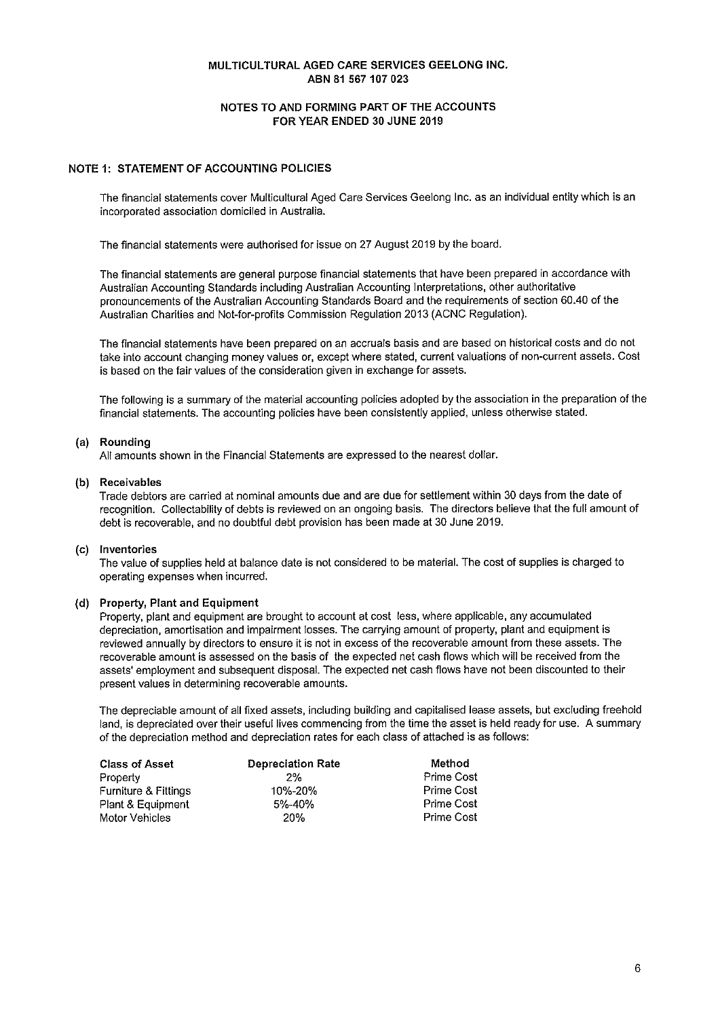## NOTES TO AND FORMING PART OF THE ACCOUNTS FOR YEAR ENDED 30 JUNE 2019

## **NOTE 1: STATEMENT OF ACCOUNTING POLICIES**

The financial statements cover Multicultural Aged Care Services Geelong Inc. as an individual entity which is an incorporated association domiciled in Australia.

The financial statements were authorised for issue on 27 August 2019 by the board.

The financial statements are general purpose financial statements that have been prepared in accordance with Australian Accounting Standards including Australian Accounting Interpretations, other authoritative pronouncements of the Australian Accounting Standards Board and the requirements of section 60.40 of the Australian Charities and Not-for-profits Commission Regulation 2013 (ACNC Regulation).

The financial statements have been prepared on an accruals basis and are based on historical costs and do not take into account changing money values or, except where stated, current valuations of non-current assets. Cost is based on the fair values of the consideration given in exchange for assets.

The following is a summary of the material accounting policies adopted by the association in the preparation of the financial statements. The accounting policies have been consistently applied, unless otherwise stated.

### (a) Rounding

All amounts shown in the Financial Statements are expressed to the nearest dollar.

### (b) Receivables

Trade debtors are carried at nominal amounts due and are due for settlement within 30 days from the date of recognition. Collectability of debts is reviewed on an ongoing basis. The directors believe that the full amount of debt is recoverable, and no doubtful debt provision has been made at 30 June 2019.

### (c) Inventories

The value of supplies held at balance date is not considered to be material. The cost of supplies is charged to operating expenses when incurred.

### (d) Property, Plant and Equipment

Property, plant and equipment are brought to account at cost less, where applicable, any accumulated depreciation, amortisation and impairment losses. The carrying amount of property, plant and equipment is reviewed annually by directors to ensure it is not in excess of the recoverable amount from these assets. The recoverable amount is assessed on the basis of the expected net cash flows which will be received from the assets' employment and subsequent disposal. The expected net cash flows have not been discounted to their present values in determining recoverable amounts.

The depreciable amount of all fixed assets, including building and capitalised lease assets, but excluding freehold land, is depreciated over their useful lives commencing from the time the asset is held ready for use. A summary of the depreciation method and depreciation rates for each class of attached is as follows:

| <b>Class of Asset</b> | <b>Depreciation Rate</b> | Method            |
|-----------------------|--------------------------|-------------------|
| Property              | 2%                       | Prime Cost        |
| Furniture & Fittings  | 10%-20%                  | <b>Prime Cost</b> |
| Plant & Equipment     | 5%-40%                   | Prime Cost        |
| Motor Vehicles        | 20%                      | Prime Cost        |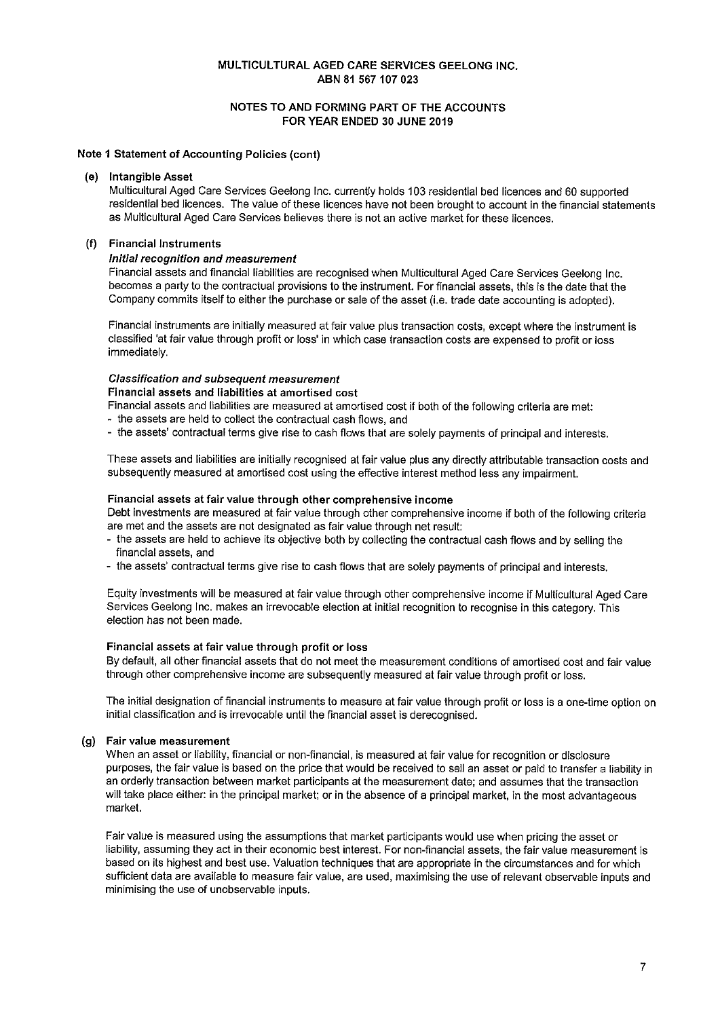## NOTES TO AND FORMING PART OF THE ACCOUNTS FOR YEAR ENDED 30 JUNE 2019

### Note 1 Statement of Accounting Policies (cont)

#### $(e)$ **Intangible Asset**

Multicultural Aged Care Services Geelong Inc. currently holds 103 residential bed licences and 60 supported residential bed licences. The value of these licences have not been brought to account in the financial statements as Multicultural Aged Care Services believes there is not an active market for these licences.

#### $(f)$ **Financial Instruments**

### Initial recognition and measurement

Financial assets and financial liabilities are recognised when Multicultural Aged Care Services Geelong Inc. becomes a party to the contractual provisions to the instrument. For financial assets, this is the date that the Company commits itself to either the purchase or sale of the asset (i.e. trade date accounting is adopted).

Financial instruments are initially measured at fair value plus transaction costs, except where the instrument is classified 'at fair value through profit or loss' in which case transaction costs are expensed to profit or loss immediately.

### **Classification and subsequent measurement**

#### Financial assets and liabilities at amortised cost

Financial assets and liabilities are measured at amortised cost if both of the following criteria are met:

- the assets are held to collect the contractual cash flows, and

- the assets' contractual terms give rise to cash flows that are solely payments of principal and interests.

These assets and liabilities are initially recognised at fair value plus any directly attributable transaction costs and subsequently measured at amortised cost using the effective interest method less any impairment.

#### Financial assets at fair value through other comprehensive income

Debt investments are measured at fair value through other comprehensive income if both of the following criteria are met and the assets are not designated as fair value through net result:

- the assets are held to achieve its objective both by collecting the contractual cash flows and by selling the financial assets, and
- the assets' contractual terms give rise to cash flows that are solely payments of principal and interests.

Equity investments will be measured at fair value through other comprehensive income if Multicultural Aged Care Services Geelong Inc. makes an irrevocable election at initial recognition to recognise in this category. This election has not been made.

#### Financial assets at fair value through profit or loss

By default, all other financial assets that do not meet the measurement conditions of amortised cost and fair value through other comprehensive income are subsequently measured at fair value through profit or loss.

The initial designation of financial instruments to measure at fair value through profit or loss is a one-time option on initial classification and is irrevocable until the financial asset is derecognised.

#### Fair value measurement  $(a)$

When an asset or liability, financial or non-financial, is measured at fair value for recognition or disclosure purposes, the fair value is based on the price that would be received to sell an asset or paid to transfer a liability in an orderly transaction between market participants at the measurement date; and assumes that the transaction will take place either: in the principal market; or in the absence of a principal market, in the most advantageous market.

Fair value is measured using the assumptions that market participants would use when pricing the asset or liability, assuming they act in their economic best interest. For non-financial assets, the fair value measurement is based on its highest and best use. Valuation techniques that are appropriate in the circumstances and for which sufficient data are available to measure fair value, are used, maximising the use of relevant observable inputs and minimising the use of unobservable inputs.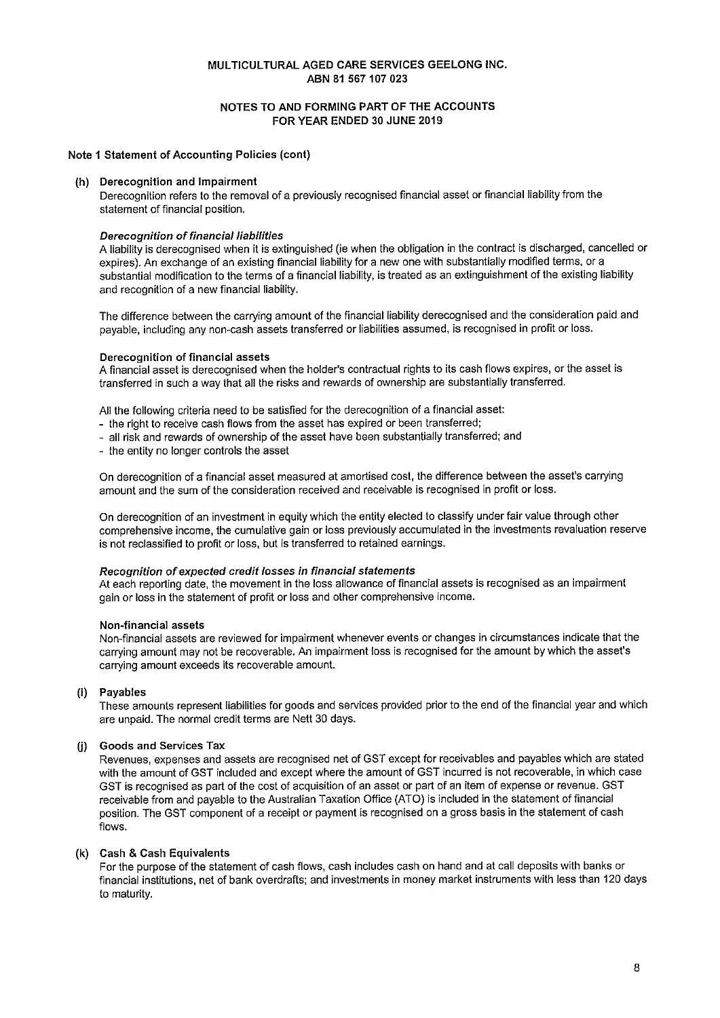# NOTES TO AND FORMING PART OF THE ACCOUNTS FOR YEAR ENDED 30 JUNE 2019

## Note 1 Statement of Accounting Policies (cont)

### (h) Derecognition and Impairment

Derecognition refers to the removal of a previously recognised financial asset or financial liability from the statement of financial position.

### **Derecognition of financial liabilities**

A liability is derecognised when it is extinguished (ie when the obligation in the contract is discharged, cancelled or expires). An exchange of an existing financial liability for a new one with substantially modified terms, or a substantial modification to the terms of a financial liability, is treated as an extinguishment of the existing liability and recognition of a new financial liability.

The difference between the carrying amount of the financial liability derecognised and the consideration paid and payable, including any non-cash assets transferred or liabilities assumed, is recognised in profit or loss.

### Derecognition of financial assets

A financial asset is derecognised when the holder's contractual rights to its cash flows expires, or the asset is transferred in such a way that all the risks and rewards of ownership are substantially transferred.

All the following criteria need to be satisfied for the derecognition of a financial asset:

- the right to receive cash flows from the asset has expired or been transferred;
- all risk and rewards of ownership of the asset have been substantially transferred; and
- the entity no longer controls the asset

On derecognition of a financial asset measured at amortised cost, the difference between the asset's carrying amount and the sum of the consideration received and receivable is recognised in profit or loss.

On derecognition of an investment in equity which the entity elected to classify under fair value through other comprehensive income, the cumulative gain or loss previously accumulated in the investments revaluation reserve is not reclassified to profit or loss, but is transferred to retained earnings.

### Recognition of expected credit losses in financial statements

At each reporting date, the movement in the loss allowance of financial assets is recognised as an impairment gain or loss in the statement of profit or loss and other comprehensive income.

## Non-financial assets

Non-financial assets are reviewed for impairment whenever events or changes in circumstances indicate that the carrying amount may not be recoverable. An impairment loss is recognised for the amount by which the asset's carrying amount exceeds its recoverable amount.

# (i) Payables

These amounts represent liabilities for goods and services provided prior to the end of the financial year and which are unpaid. The normal credit terms are Nett 30 days.

# (i) Goods and Services Tax

Revenues, expenses and assets are recognised net of GST except for receivables and payables which are stated with the amount of GST included and except where the amount of GST incurred is not recoverable, in which case GST is recognised as part of the cost of acquisition of an asset or part of an item of expense or revenue. GST receivable from and payable to the Australian Taxation Office (ATO) is included in the statement of financial position. The GST component of a receipt or payment is recognised on a gross basis in the statement of cash flows.

### (k) Cash & Cash Equivalents

For the purpose of the statement of cash flows, cash includes cash on hand and at call deposits with banks or financial institutions, net of bank overdrafts; and investments in money market instruments with less than 120 days to maturity.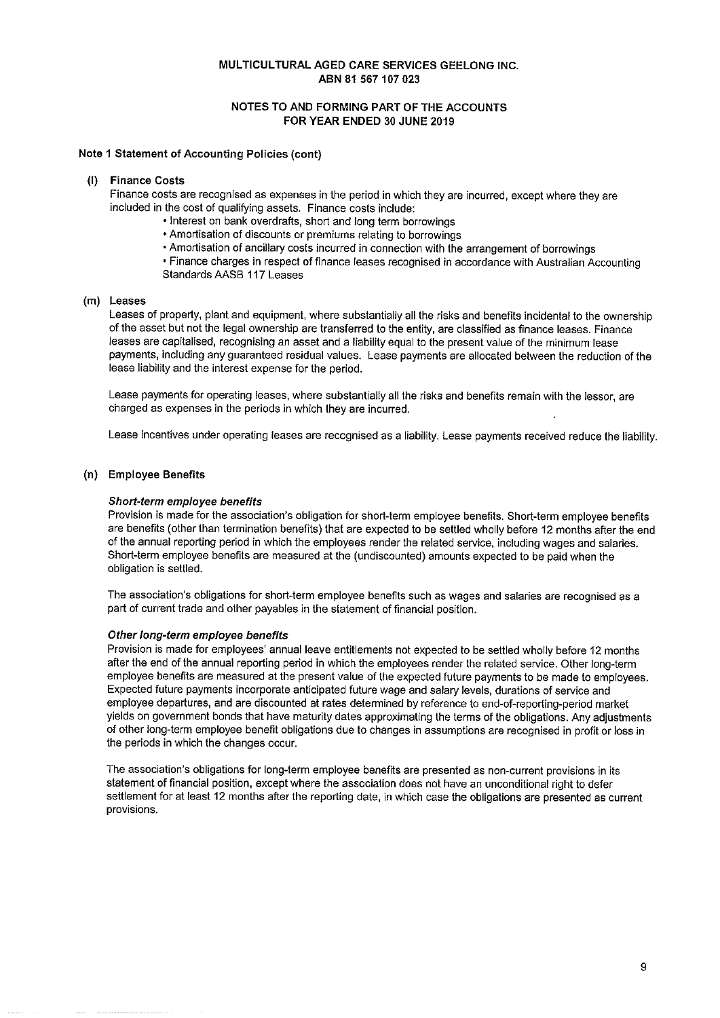## NOTES TO AND FORMING PART OF THE ACCOUNTS FOR YEAR ENDED 30 JUNE 2019

### Note 1 Statement of Accounting Policies (cont)

#### **Finance Costs**  $\mathbf{u}$

Finance costs are recognised as expenses in the period in which they are incurred, except where they are included in the cost of qualifying assets. Finance costs include:

- . Interest on bank overdrafts, short and long term borrowings
- Amortisation of discounts or premiums relating to borrowings
- Amortisation of ancillary costs incurred in connection with the arrangement of borrowings
- Finance charges in respect of finance leases recognised in accordance with Australian Accounting Standards AASB 117 Leases

### (m) Leases

Leases of property, plant and equipment, where substantially all the risks and benefits incidental to the ownership of the asset but not the legal ownership are transferred to the entity, are classified as finance leases. Finance leases are capitalised, recognising an asset and a liability equal to the present value of the minimum lease payments, including any guaranteed residual values. Lease payments are allocated between the reduction of the lease liability and the interest expense for the period.

Lease payments for operating leases, where substantially all the risks and benefits remain with the lessor, are charged as expenses in the periods in which they are incurred.

Lease incentives under operating leases are recognised as a liability. Lease payments received reduce the liability.

### (n) Employee Benefits

#### Short-term employee benefits

Provision is made for the association's obligation for short-term employee benefits. Short-term employee benefits are benefits (other than termination benefits) that are expected to be settled wholly before 12 months after the end of the annual reporting period in which the employees render the related service, including wages and salaries. Short-term employee benefits are measured at the (undiscounted) amounts expected to be paid when the obligation is settled.

The association's obligations for short-term employee benefits such as wages and salaries are recognised as a part of current trade and other payables in the statement of financial position.

#### Other long-term employee benefits

Provision is made for employees' annual leave entitlements not expected to be settled wholly before 12 months after the end of the annual reporting period in which the employees render the related service. Other long-term employee benefits are measured at the present value of the expected future payments to be made to employees. Expected future payments incorporate anticipated future wage and salary levels, durations of service and employee departures, and are discounted at rates determined by reference to end-of-reporting-period market yields on government bonds that have maturity dates approximating the terms of the obligations. Any adjustments of other long-term employee benefit obligations due to changes in assumptions are recognised in profit or loss in the periods in which the changes occur.

The association's obligations for long-term employee benefits are presented as non-current provisions in its statement of financial position, except where the association does not have an unconditional right to defer settlement for at least 12 months after the reporting date, in which case the obligations are presented as current provisions.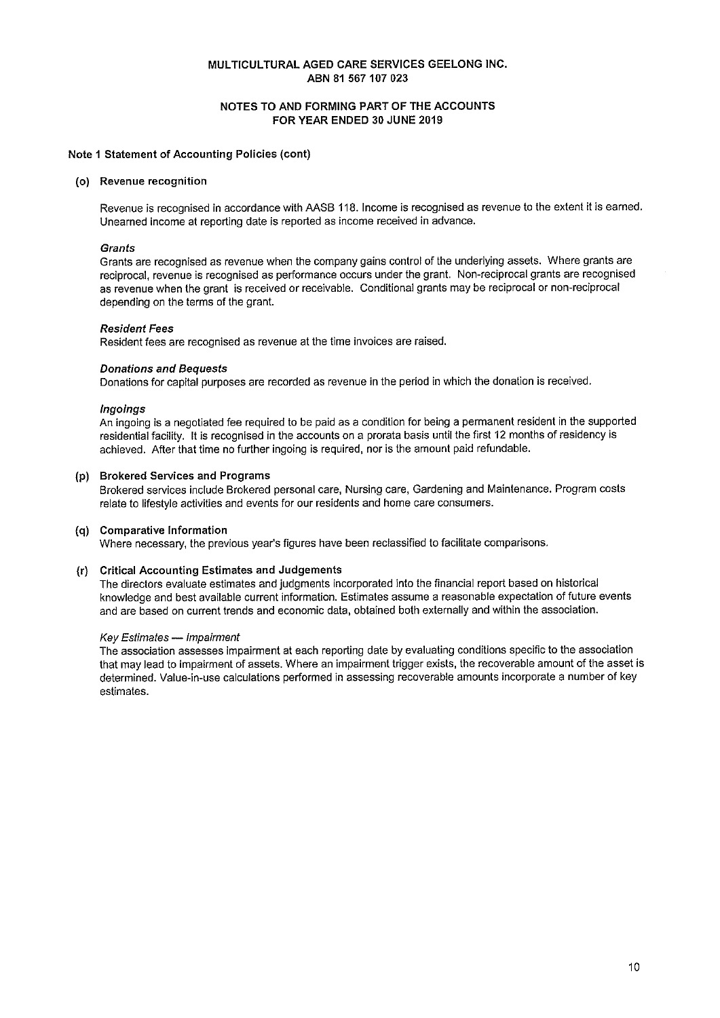# NOTES TO AND FORMING PART OF THE ACCOUNTS FOR YEAR ENDED 30 JUNE 2019

### Note 1 Statement of Accounting Policies (cont)

#### (o) Revenue recognition

Revenue is recognised in accordance with AASB 118. Income is recognised as revenue to the extent it is earned. Unearned income at reporting date is reported as income received in advance.

#### **Grants**

Grants are recognised as revenue when the company gains control of the underlying assets. Where grants are reciprocal, revenue is recognised as performance occurs under the grant. Non-reciprocal grants are recognised as revenue when the grant is received or receivable. Conditional grants may be reciprocal or non-reciprocal depending on the terms of the grant.

#### **Resident Fees**

Resident fees are recognised as revenue at the time invoices are raised.

### **Donations and Bequests**

Donations for capital purposes are recorded as revenue in the period in which the donation is received.

### **Ingoings**

An ingoing is a negotiated fee reguired to be paid as a condition for being a permanent resident in the supported residential facility. It is recognised in the accounts on a prorata basis until the first 12 months of residency is achieved. After that time no further ingoing is required, nor is the amount paid refundable.

### (p) Brokered Services and Programs

Brokered services include Brokered personal care, Nursing care, Gardening and Maintenance. Program costs relate to lifestyle activities and events for our residents and home care consumers.

#### (q) Comparative Information

Where necessary, the previous year's figures have been reclassified to facilitate comparisons.

## (r) Critical Accounting Estimates and Judgements

The directors evaluate estimates and judgments incorporated into the financial report based on historical knowledge and best available current information. Estimates assume a reasonable expectation of future events and are based on current trends and economic data, obtained both externally and within the association.

#### Key Estimates - Impairment

The association assesses impairment at each reporting date by evaluating conditions specific to the association that may lead to impairment of assets. Where an impairment trigger exists, the recoverable amount of the asset is determined. Value-in-use calculations performed in assessing recoverable amounts incorporate a number of key estimates.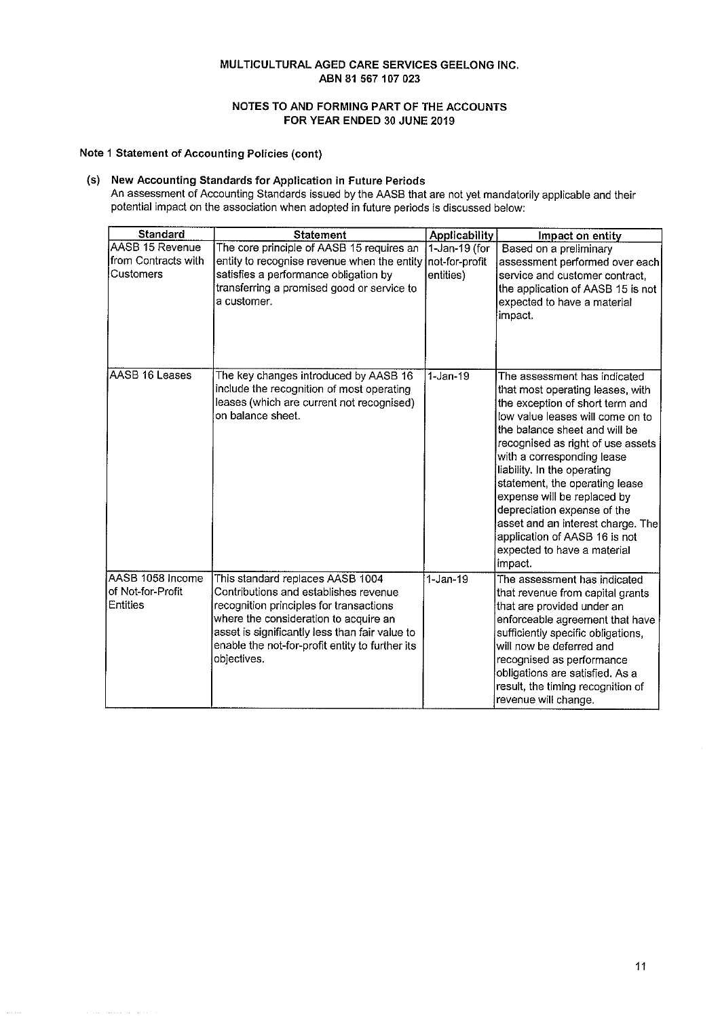# NOTES TO AND FORMING PART OF THE ACCOUNTS FOR YEAR ENDED 30 JUNE 2019

## Note 1 Statement of Accounting Policies (cont)

(s) New Accounting Standards for Application in Future Periods An assessment of Accounting Standards issued by the AASB that are not yet mandatorily applicable and their<br>potential impact on the association when adopted in future periods is discussed below:

| <b>Standard</b>                                            | <b>Statement</b>                                                                                                                                                                                                                                                                  | <b>Applicability</b>                            | Impact on entity                                                                                                                                                                                                                                                                                                                                                                                                                                                                           |
|------------------------------------------------------------|-----------------------------------------------------------------------------------------------------------------------------------------------------------------------------------------------------------------------------------------------------------------------------------|-------------------------------------------------|--------------------------------------------------------------------------------------------------------------------------------------------------------------------------------------------------------------------------------------------------------------------------------------------------------------------------------------------------------------------------------------------------------------------------------------------------------------------------------------------|
| AASB 15 Revenue<br>from Contracts with<br><b>Customers</b> | The core principle of AASB 15 requires an<br>entity to recognise revenue when the entity<br>satisfies a performance obligation by<br>transferring a promised good or service to<br>a customer.                                                                                    | $1$ -Jan-19 (for<br>not-for-profit<br>entities) | Based on a preliminary<br>assessment performed over each<br>service and customer contract.<br>the application of AASB 15 is not<br>expected to have a material<br>impact.                                                                                                                                                                                                                                                                                                                  |
| AASB 16 Leases                                             | The key changes introduced by AASB 16<br>include the recognition of most operating<br>leases (which are current not recognised)<br>on balance sheet.                                                                                                                              | $1-Jan-19$                                      | The assessment has indicated<br>that most operating leases, with<br>the exception of short term and<br>low value leases will come on to<br>the balance sheet and will be<br>recognised as right of use assets<br>with a corresponding lease<br>liability. In the operating<br>statement, the operating lease<br>expense will be replaced by<br>depreciation expense of the<br>asset and an interest charge. The<br>application of AASB 16 is not<br>expected to have a material<br>impact. |
| AASB 1058 Income<br>of Not-for-Profit<br>Entities          | This standard replaces AASB 1004<br>Contributions and establishes revenue<br>recognition principles for transactions<br>where the consideration to acquire an<br>asset is significantly less than fair value to<br>enable the not-for-profit entity to further its<br>objectives. | $1$ -Jan-19                                     | The assessment has indicated<br>that revenue from capital grants<br>that are provided under an<br>enforceable agreement that have<br>sufficiently specific obligations,<br>will now be deferred and<br>recognised as performance<br>obligations are satisfied. As a<br>result, the timing recognition of<br>revenue will change.                                                                                                                                                           |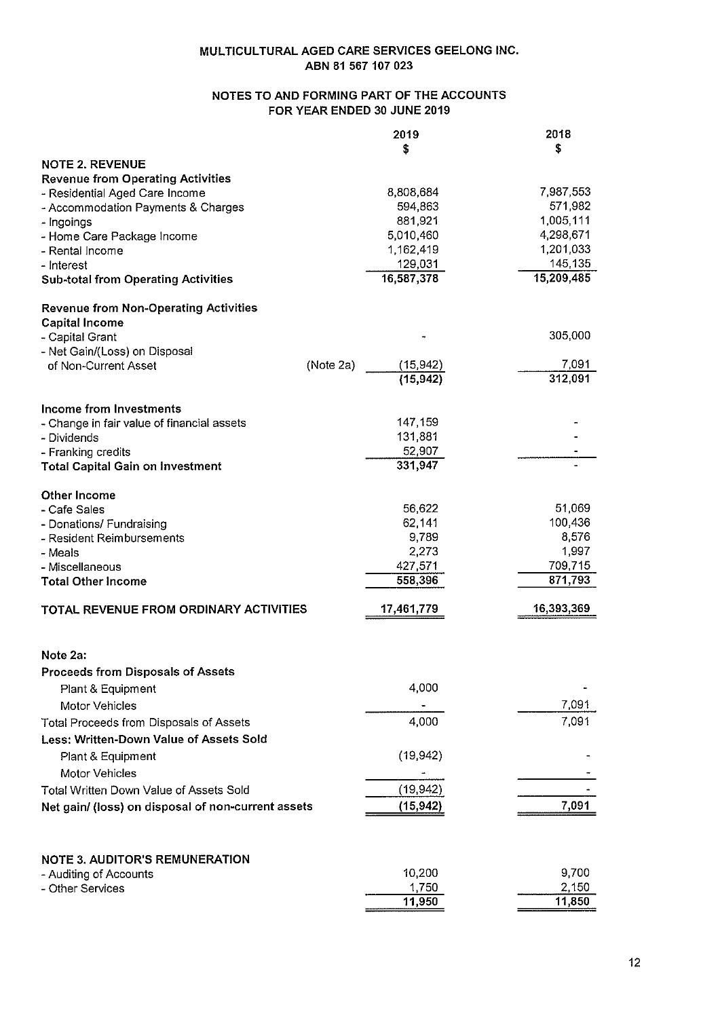# NOTES TO AND FORMING PART OF THE ACCOUNTS FOR YEAR ENDED 30 JUNE 2019

|                                                    | 2019                   | 2018       |
|----------------------------------------------------|------------------------|------------|
|                                                    | \$                     | \$         |
| <b>NOTE 2. REVENUE</b>                             |                        |            |
| <b>Revenue from Operating Activities</b>           |                        |            |
| - Residential Aged Care Income                     | 8,808,684              | 7,987,553  |
| - Accommodation Payments & Charges                 | 594,863                | 571,982    |
| - Ingoings                                         | 881,921                | 1,005,111  |
| - Home Care Package Income                         | 5,010,460              | 4,298,671  |
| - Rental Income                                    | 1,162,419              | 1,201,033  |
| - Interest                                         | 129,031                | 145,135    |
| <b>Sub-total from Operating Activities</b>         | 16,587,378             | 15,209,485 |
|                                                    |                        |            |
| <b>Revenue from Non-Operating Activities</b>       |                        |            |
| <b>Capital Income</b>                              |                        |            |
| - Capital Grant                                    |                        | 305,000    |
| - Net Gain/(Loss) on Disposal                      |                        |            |
| of Non-Current Asset                               | (Note 2a)<br>(15, 942) | 7,091      |
|                                                    | (15, 942)              | 312,091    |
|                                                    |                        |            |
| Income from Investments                            |                        |            |
| - Change in fair value of financial assets         | 147,159                |            |
| - Dividends                                        | 131,881                |            |
| - Franking credits                                 | 52,907                 |            |
| <b>Total Capital Gain on Investment</b>            | 331,947                |            |
|                                                    |                        |            |
| <b>Other Income</b>                                |                        |            |
| - Cafe Sales                                       | 56,622                 | 51,069     |
| - Donations/ Fundraising                           | 62,141                 | 100,436    |
| - Resident Reimbursements                          | 9,789                  | 8,576      |
| - Meals                                            | 2,273                  | 1,997      |
| - Miscellaneous                                    | 427,571                | 709,715    |
| <b>Total Other Income</b>                          | 558,396                | 871,793    |
|                                                    |                        |            |
| TOTAL REVENUE FROM ORDINARY ACTIVITIES             | 17,461,779             | 16,393,369 |
|                                                    |                        |            |
|                                                    |                        |            |
| Note 2a:                                           |                        |            |
| <b>Proceeds from Disposals of Assets</b>           |                        |            |
| Plant & Equipment                                  | 4,000                  |            |
|                                                    |                        |            |
| Motor Vehicles                                     |                        | 7,091      |
| Total Proceeds from Disposals of Assets            | 4,000                  | 7,091      |
| Less: Written-Down Value of Assets Sold            |                        |            |
| Plant & Equipment                                  | (19, 942)              |            |
| Motor Vehicles                                     |                        |            |
|                                                    |                        |            |
| Total Written Down Value of Assets Sold            | (19, 942)              |            |
| Net gain/ (loss) on disposal of non-current assets | (15, 942)              | 7,091      |
|                                                    |                        |            |
|                                                    |                        |            |
| <b>NOTE 3. AUDITOR'S REMUNERATION</b>              |                        |            |
| - Auditing of Accounts                             | 10,200                 | 9,700      |
| - Other Services                                   | 1,750                  | 2,150      |
|                                                    | 11,950                 | 11,850     |
|                                                    |                        |            |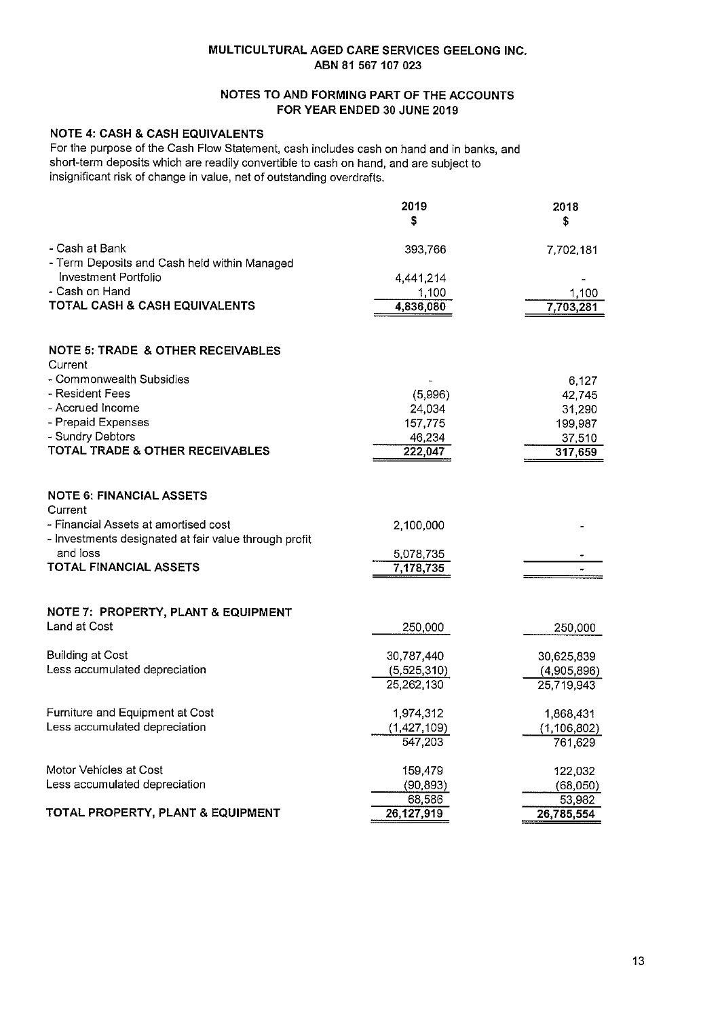# NOTES TO AND FORMING PART OF THE ACCOUNTS FOR YEAR ENDED 30 JUNE 2019

# **NOTE 4: CASH & CASH EQUIVALENTS**

For the purpose of the Cash Flow Statement, cash includes cash on hand and in banks, and short-term deposits which are readily convertible to cash on hand, and are subject to insignificant risk of change in value, net of outstanding overdrafts.

|                                                                | 2019<br>\$  | 2018<br>\$    |
|----------------------------------------------------------------|-------------|---------------|
| - Cash at Bank<br>- Term Deposits and Cash held within Managed | 393,766     | 7,702,181     |
| Investment Portfolio                                           | 4,441,214   |               |
| - Cash on Hand                                                 | 1,100       | 1,100         |
| TOTAL CASH & CASH EQUIVALENTS                                  | 4,836,080   | 7,703,281     |
| <b>NOTE 5: TRADE &amp; OTHER RECEIVABLES</b><br>Current        |             |               |
| - Commonwealth Subsidies                                       |             | 6,127         |
| - Resident Fees                                                | (5,996)     | 42,745        |
| - Accrued Income                                               | 24,034      | 31,290        |
| - Prepaid Expenses                                             | 157,775     | 199,987       |
| - Sundry Debtors<br>TOTAL TRADE & OTHER RECEIVABLES            | 46,234      | 37,510        |
|                                                                | 222,047     | 317,659       |
| <b>NOTE 6: FINANCIAL ASSETS</b><br>Current                     |             |               |
| - Financial Assets at amortised cost                           | 2,100,000   |               |
| - Investments designated at fair value through profit          |             |               |
| and loss                                                       | 5,078,735   |               |
| TOTAL FINANCIAL ASSETS                                         | 7,178,735   |               |
| NOTE 7: PROPERTY, PLANT & EQUIPMENT                            |             |               |
| Land at Cost                                                   | 250,000     | 250,000       |
|                                                                |             |               |
| <b>Building at Cost</b>                                        | 30,787,440  | 30,625,839    |
| Less accumulated depreciation                                  | (5,525,310) | (4,905,896)   |
|                                                                | 25,262,130  | 25,719,943    |
| Furniture and Equipment at Cost                                | 1,974,312   | 1,868,431     |
| Less accumulated depreciation                                  | (1,427,109) | (1, 106, 802) |
|                                                                | 547,203     | 761,629       |
| Motor Vehicles at Cost                                         | 159,479     | 122,032       |
| Less accumulated depreciation                                  | (90, 893)   | (68,050)      |
|                                                                | 68,586      | 53,982        |
| TOTAL PROPERTY, PLANT & EQUIPMENT                              | 26,127,919  | 26,785,554    |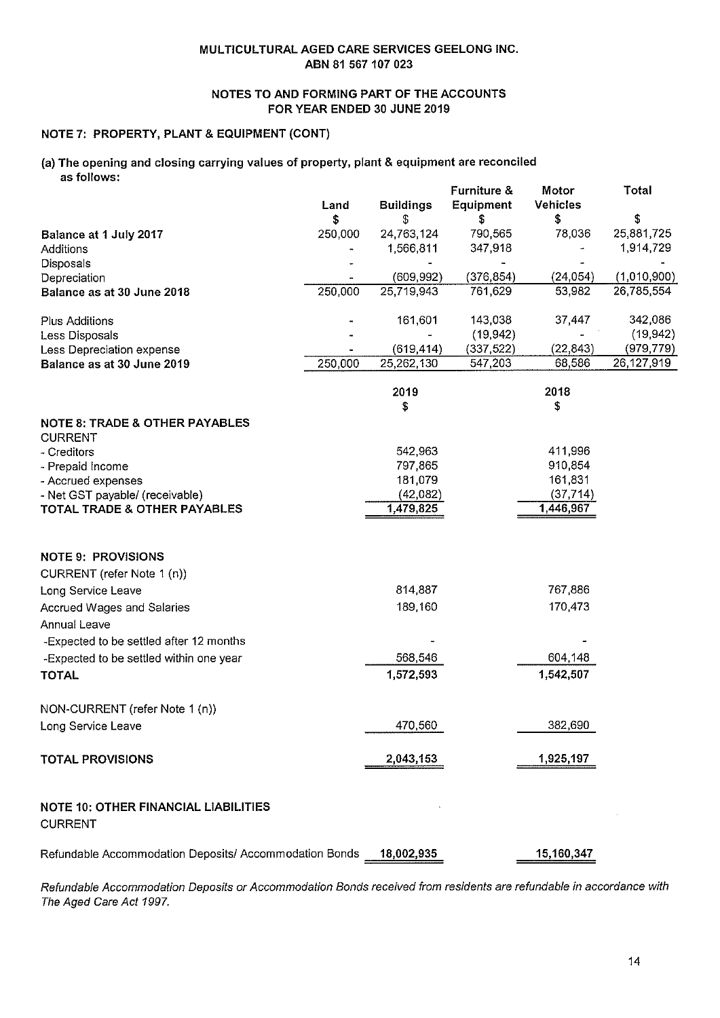# NOTES TO AND FORMING PART OF THE ACCOUNTS FOR YEAR ENDED 30 JUNE 2019

# NOTE 7: PROPERTY, PLANT & EQUIPMENT (CONT)

#### (a) The opening and closing carrying values of property, plant & equipment are reconciled as follows:  $E$ urnituro  $\mathcal{R}$

|                                                             | Land          | <b>Buildings</b> | Furniture &<br>Equipment | Motor<br><b>Vehicles</b> | <b>Total</b><br>\$ |
|-------------------------------------------------------------|---------------|------------------|--------------------------|--------------------------|--------------------|
| Balance at 1 July 2017                                      | \$<br>250,000 | \$<br>24,763,124 | S<br>790,565             | \$<br>78,036             | 25,881,725         |
| Additions                                                   |               | 1,566,811        | 347,918                  |                          | 1,914,729          |
| Disposals                                                   |               |                  |                          |                          |                    |
| Depreciation                                                |               | (609, 992)       | (376, 854)               | (24, 054)                | (1,010,900)        |
| Balance as at 30 June 2018                                  | 250,000       | 25,719,943       | 761.629                  | 53,982                   | 26,785,554         |
| <b>Plus Additions</b>                                       |               | 161,601          | 143,038                  | 37,447                   | 342,086            |
| Less Disposals                                              |               |                  | (19.942)                 |                          | (19, 942)          |
| Less Depreciation expense                                   |               | (619, 414)       | (337, 522)               | (22, 843)                | (979, 779)         |
| Balance as at 30 June 2019                                  | 250,000       | 25,262,130       | 547,203                  | 68,586                   | 26,127,919         |
|                                                             |               | 2019<br>S        |                          | 2018<br>\$               |                    |
| <b>NOTE 8: TRADE &amp; OTHER PAYABLES</b><br><b>CURRENT</b> |               |                  |                          |                          |                    |
| - Creditors                                                 |               | 542,963          |                          | 411,996                  |                    |
| - Prepaid Income                                            |               | 797,865          |                          | 910,854                  |                    |
| - Accrued expenses                                          |               | 181,079          |                          | 161,831                  |                    |
| - Net GST payable/ (receivable)                             |               | (42,082)         |                          | (37, 714)                |                    |
| TOTAL TRADE & OTHER PAYABLES                                |               | 1,479,825        |                          | 1,446,967                |                    |
| <b>NOTE 9: PROVISIONS</b>                                   |               |                  |                          |                          |                    |
| CURRENT (refer Note 1 (n))                                  |               |                  |                          |                          |                    |
| Long Service Leave                                          |               | 814,887          |                          | 767,886                  |                    |
| <b>Accrued Wages and Salaries</b>                           |               | 189,160          |                          | 170,473                  |                    |
| <b>Annual Leave</b>                                         |               |                  |                          |                          |                    |
| -Expected to be settled after 12 months                     |               |                  |                          |                          |                    |
| -Expected to be settled within one year                     |               | 568,546          |                          | 604,148                  |                    |
| <b>TOTAL</b>                                                |               | 1,572,593        |                          | 1,542,507                |                    |
| NON-CURRENT (refer Note 1 (n))                              |               |                  |                          |                          |                    |
| Long Service Leave                                          |               | 470,560          |                          | 382,690                  |                    |
| <b>TOTAL PROVISIONS</b>                                     |               | 2,043,153        |                          | 1,925,197                |                    |
| NOTE 10: OTHER FINANCIAL LIABILITIES<br><b>CURRENT</b>      |               |                  |                          |                          |                    |
| Refundable Accommodation Deposits/ Accommodation Bonds      |               | 18,002,935       |                          | 15,160,347               |                    |

Refundable Accommodation Deposits or Accommodation Bonds received from residents are refundable in accordance with The Aged Care Act 1997.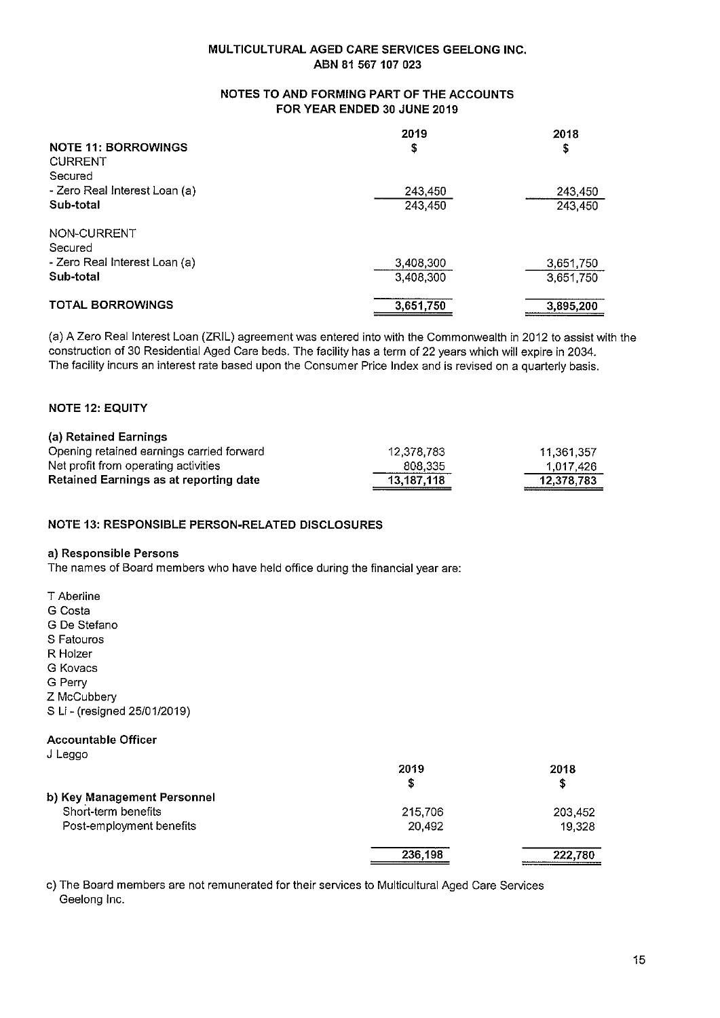# NOTES TO AND FORMING PART OF THE ACCOUNTS FOR YEAR ENDED 30 JUNE 2019

|                               | 2019      | 2018      |
|-------------------------------|-----------|-----------|
| <b>NOTE 11: BORROWINGS</b>    | s         | \$        |
| <b>CURRENT</b>                |           |           |
| Secured                       |           |           |
| - Zero Real Interest Loan (a) | 243.450   | 243,450   |
| Sub-total                     | 243,450   | 243,450   |
| NON-CURRENT                   |           |           |
| Secured                       |           |           |
| - Zero Real Interest Loan (a) | 3,408,300 | 3,651,750 |
| Sub-total                     | 3,408.300 | 3,651,750 |
| <b>TOTAL BORROWINGS</b>       | 3,651,750 | 3,895,200 |

(a) A Zero Real Interest Loan (ZRIL) agreement was entered into with the Commonwealth in 2012 to assist with the construction of 30 Residential Aged Care beds. The facility has a term of 22 years which will expire in 2034. The facility incurs an interest rate based upon the Consumer Price Index and is revised on a quarterly basis.

# **NOTE 12: EQUITY**

| (a) Retained Earnings                     |            |            |
|-------------------------------------------|------------|------------|
| Opening retained earnings carried forward | 12,378.783 | 11,361,357 |
| Net profit from operating activities      | 808.335    | 1.017.426  |
| Retained Earnings as at reporting date    | 13,187,118 | 12,378,783 |

# **NOTE 13: RESPONSIBLE PERSON-RELATED DISCLOSURES**

### a) Responsible Persons

The names of Board members who have held office during the financial year are:

- T Aberline
- G Costa
- G De Stefano
- S Fatouros
- R Holzer
- G Kovacs
- G Perry
- Z McCubbery
- S Li (resigned 25/01/2019)

# **Accountable Officer**

J Leggo

|                             | 2019    | 2018    |
|-----------------------------|---------|---------|
|                             |         | S       |
| b) Key Management Personnel |         |         |
| Short-term benefits         | 215,706 | 203,452 |
| Post-employment benefits    | 20.492  | 19,328  |
|                             | 236,198 | 222,780 |

c) The Board members are not remunerated for their services to Multicultural Aged Care Services Geelong Inc.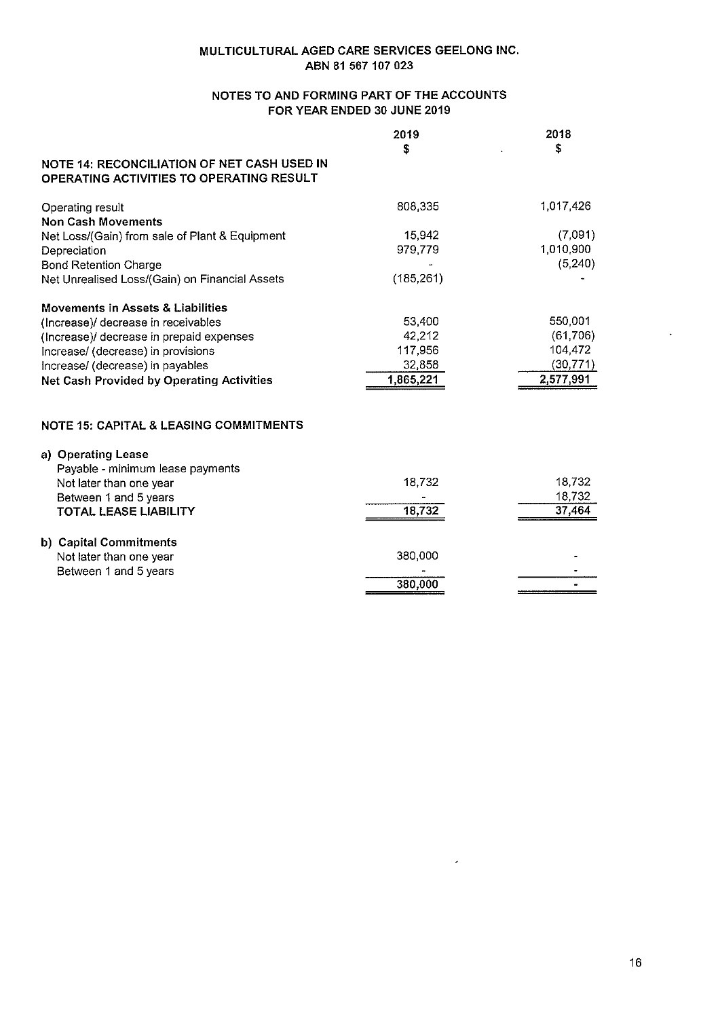# NOTES TO AND FORMING PART OF THE ACCOUNTS FOR YEAR ENDED 30 JUNE 2019

|                                                                                         | 2019       | 2018      |
|-----------------------------------------------------------------------------------------|------------|-----------|
|                                                                                         | \$         | \$        |
| NOTE 14: RECONCILIATION OF NET CASH USED IN<br>OPERATING ACTIVITIES TO OPERATING RESULT |            |           |
|                                                                                         |            |           |
| Operating result                                                                        | 808,335    | 1,017,426 |
| <b>Non Cash Movements</b>                                                               |            |           |
| Net Loss/(Gain) from sale of Plant & Equipment                                          | 15,942     | (7,091)   |
| Depreciation                                                                            | 979.779    | 1,010,900 |
| <b>Bond Retention Charge</b>                                                            |            | (5, 240)  |
| Net Unrealised Loss/(Gain) on Financial Assets                                          | (185, 261) |           |
| <b>Movements in Assets &amp; Liabilities</b>                                            |            |           |
| (Increase)/ decrease in receivables                                                     | 53,400     | 550,001   |
| (Increase)/ decrease in prepaid expenses                                                | 42,212     | (61, 706) |
| Increase/ (decrease) in provisions                                                      | 117,956    | 104,472   |
| Increase/ (decrease) in payables                                                        | 32,858     | (30, 771) |
| <b>Net Cash Provided by Operating Activities</b>                                        | 1,865,221  | 2,577,991 |
|                                                                                         |            |           |
| <b>NOTE 15: CAPITAL &amp; LEASING COMMITMENTS</b>                                       |            |           |
| a) Operating Lease                                                                      |            |           |
| Payable - minimum lease payments                                                        |            |           |
| Not later than one year                                                                 | 18,732     | 18,732    |
| Between 1 and 5 years                                                                   |            | 18,732    |
| TOTAL LEASE LIABILITY                                                                   | 18,732     | 37,464    |
| b) Capital Commitments                                                                  |            |           |
| Not later than one year                                                                 | 380,000    |           |
| Between 1 and 5 years                                                                   |            |           |
|                                                                                         | 380,000    |           |

 $\omega$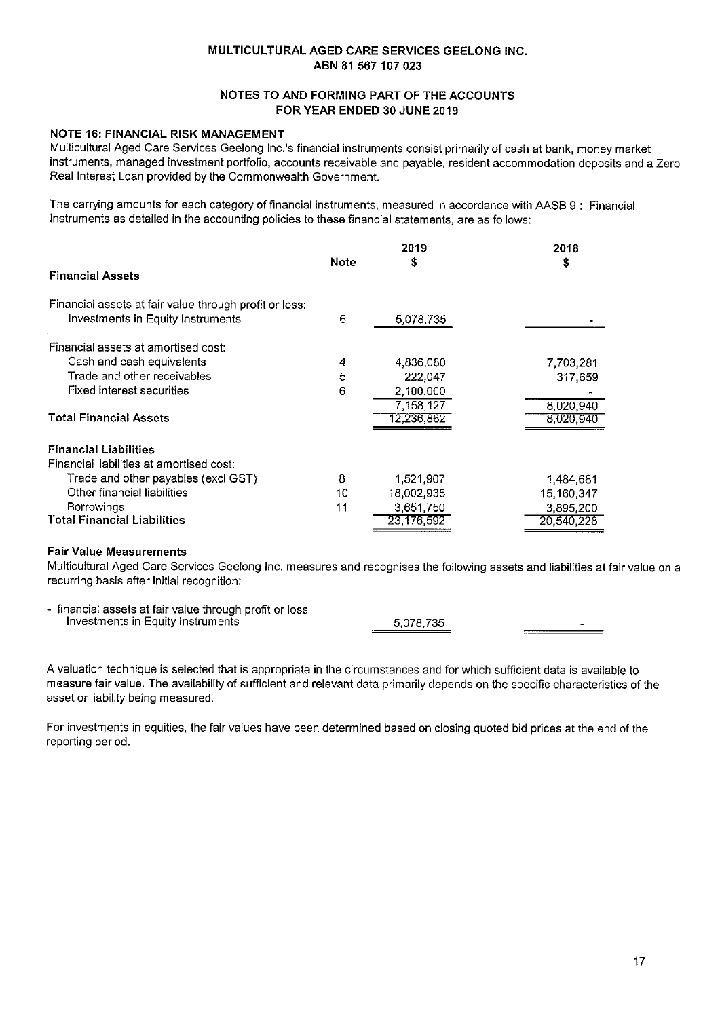# NOTES TO AND FORMING PART OF THE ACCOUNTS FOR YEAR ENDED 30 JUNE 2019

# NOTE 16: FINANCIAL RISK MANAGEMENT

Multicultural Aged Care Services Geelong Inc.'s financial instruments consist primarily of cash at bank, money market instruments, managed investment portfolio, accounts receivable and payable, resident accommodation deposits and a Zero Real Interest Loan provided by the Commonwealth Government.

The carrying amounts for each category of financial instruments, measured in accordance with AASB 9 : Financial Instruments as detailed in the accounting policies to these financial statements, are as follows:

|                                                        | Note | 2019<br>S  | 2018<br>\$ |
|--------------------------------------------------------|------|------------|------------|
| <b>Financial Assets</b>                                |      |            |            |
| Financial assets at fair value through profit or loss: |      |            |            |
| Investments in Equity Instruments                      | 6    | 5,078,735  |            |
| Financial assets at amortised cost:                    |      |            |            |
| Cash and cash equivalents                              | 4    | 4,836,080  | 7,703,281  |
| Trade and other receivables                            | 5    | 222.047    | 317,659    |
| Fixed interest securities                              | 6    | 2,100,000  |            |
|                                                        |      | 7,158,127  | 8,020,940  |
| <b>Total Financial Assets</b>                          |      | 12,236.862 | 8,020,940  |
| <b>Financial Liabilities</b>                           |      |            |            |
| Financial liabilities at amortised cost:               |      |            |            |
| Trade and other payables (excl GST)                    | 8    | 1,521,907  | 1,484,681  |
| Other financial liabilities                            | 10   | 18,002,935 | 15,160,347 |
| <b>Borrowings</b>                                      | 11   | 3,651,750  | 3,895,200  |
| <b>Total Financial Liabilities</b>                     |      | 23,176,592 | 20,540,228 |

# **Fair Value Measurements**

Multicultural Aged Care Services Geelong Inc. measures and recognises the following assets and liabilities at fair value on a recurring basis after initial recognition:

| financial assets at fair value through profit or loss |           |  |
|-------------------------------------------------------|-----------|--|
| Investments in Equity Instruments                     | 5.078.735 |  |

A valuation technique is selected that is appropriate in the circumstances and for which sufficient data is available to measure fair value. The availability of sufficient and relevant data primarily depends on the specific characteristics of the asset or liability being measured.

For investments in equities, the fair values have been determined based on closing quoted bid prices at the end of the reporting period.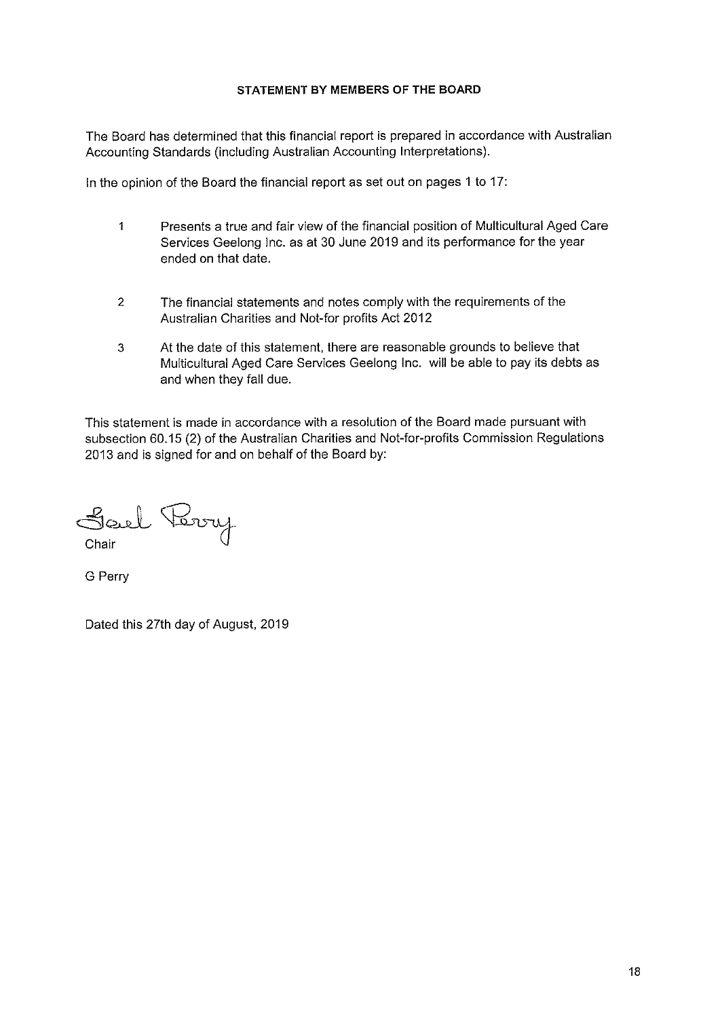# STATEMENT BY MEMBERS OF THE BOARD

The Board has determined that this financial report is prepared in accordance with Australian Accounting Standards (including Australian Accounting Interpretations).

In the opinion of the Board the financial report as set out on pages 1 to 17:

- $\mathbf{1}$ Presents a true and fair view of the financial position of Multicultural Aged Care Services Geelong Inc. as at 30 June 2019 and its performance for the year ended on that date.
- $\overline{2}$ The financial statements and notes comply with the requirements of the Australian Charities and Not-for profits Act 2012
- $\overline{3}$ At the date of this statement, there are reasonable grounds to believe that Multicultural Aged Care Services Geelong Inc. will be able to pay its debts as and when they fall due.

This statement is made in accordance with a resolution of the Board made pursuant with subsection 60.15 (2) of the Australian Charities and Not-for-profits Commission Regulations 2013 and is signed for and on behalf of the Board by:

Sael Terry Chair

G Perry

Dated this 27th day of August, 2019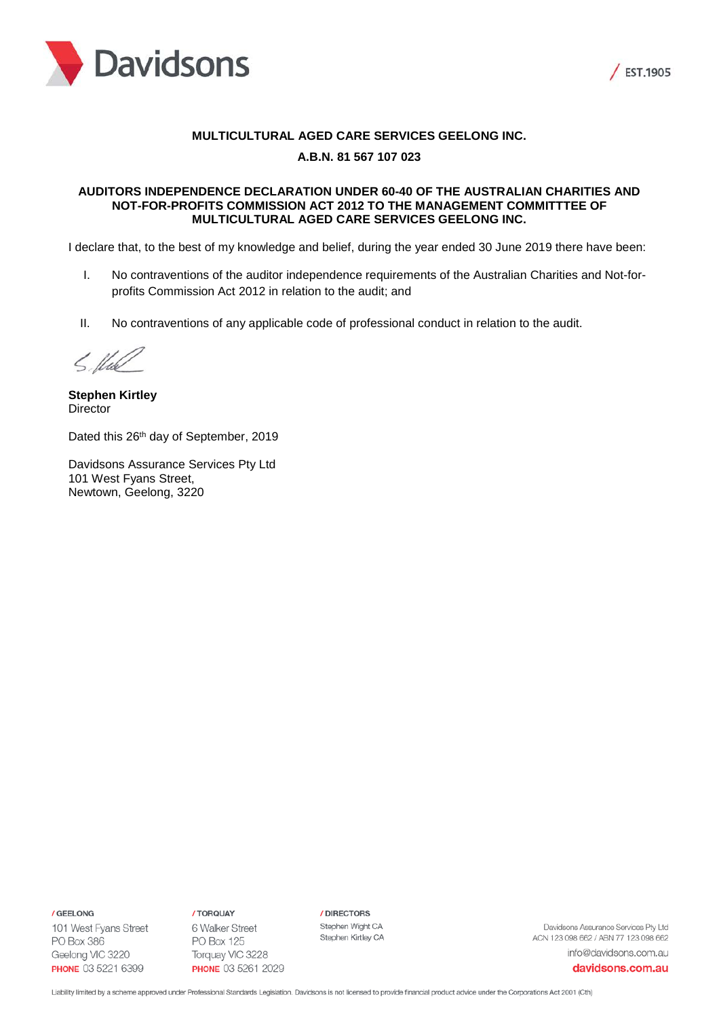



# **MULTICULTURAL AGED CARE SERVICES GEELONG INC.**

# **A.B.N. 81 567 107 023**

# **AUDITORS INDEPENDENCE DECLARATION UNDER 60-40 OF THE AUSTRALIAN CHARITIES AND NOT-FOR-PROFITS COMMISSION ACT 2012 TO THE MANAGEMENT COMMITTTEE OF MULTICULTURAL AGED CARE SERVICES GEELONG INC.**

I declare that, to the best of my knowledge and belief, during the year ended 30 June 2019 there have been:

- I. No contraventions of the auditor independence requirements of the Australian Charities and Not-forprofits Commission Act 2012 in relation to the audit; and
- II. No contraventions of any applicable code of professional conduct in relation to the audit.

5. Und

**Stephen Kirtley Director** 

Dated this 26<sup>th</sup> day of September, 2019

Davidsons Assurance Services Pty Ltd 101 West Fyans Street, Newtown, Geelong, 3220

/ GEELONG

101 West Fyans Street PO Box 386 Geelong VIC 3220 **PHONE** 03 5221 6399

/ TORQUAY 6 Walker Street **PO Box 125** Torquay VIC 3228 **PHONE 03 5261 2029**  / DIRECTORS Stephen Wight CA Stephen Kirtley CA

Davidsons Assurance Services Pty Ltd ACN 123 098 662 / ABN 77 123 098 662 info@davidsons.com.au

davidsons.com.au

Liability limited by a scheme approved under Professional Standards Legislation. Davidsons is not licensed to provide financial product advice under the Corporations Act 2001 (Cth)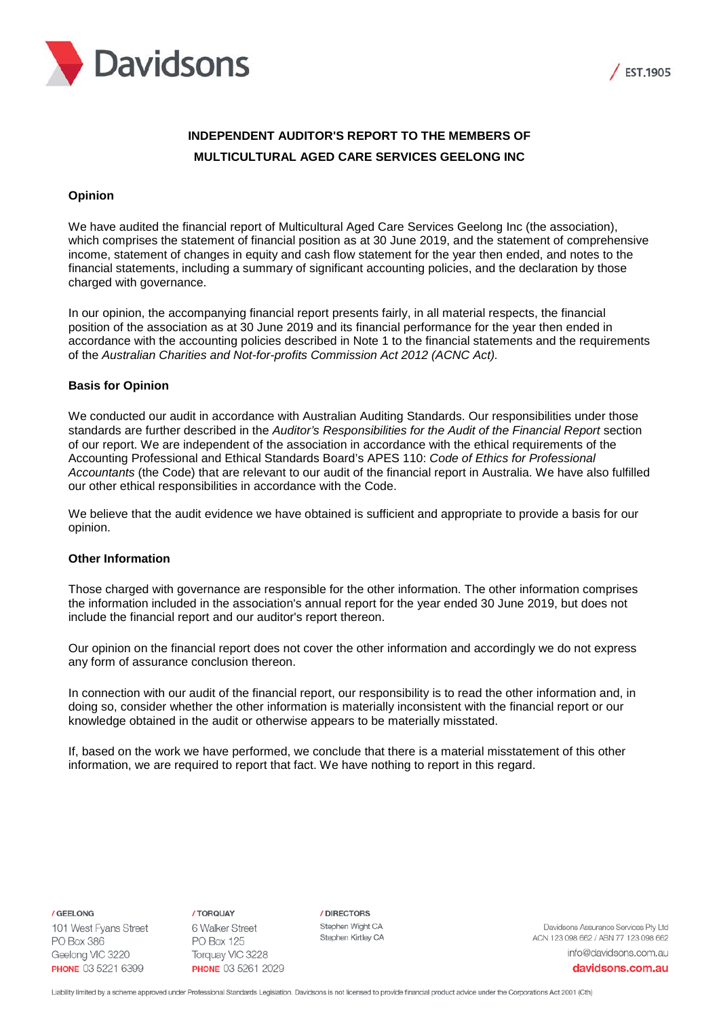



# **INDEPENDENT AUDITOR'S REPORT TO THE MEMBERS OF MULTICULTURAL AGED CARE SERVICES GEELONG INC**

# **Opinion**

We have audited the financial report of Multicultural Aged Care Services Geelong Inc (the association), which comprises the statement of financial position as at 30 June 2019, and the statement of comprehensive income, statement of changes in equity and cash flow statement for the year then ended, and notes to the financial statements, including a summary of significant accounting policies, and the declaration by those charged with governance.

In our opinion, the accompanying financial report presents fairly, in all material respects, the financial position of the association as at 30 June 2019 and its financial performance for the year then ended in accordance with the accounting policies described in Note 1 to the financial statements and the requirements of the *Australian Charities and Not-for-profits Commission Act 2012 (ACNC Act).*

# **Basis for Opinion**

We conducted our audit in accordance with Australian Auditing Standards. Our responsibilities under those standards are further described in the *Auditor's Responsibilities for the Audit of the Financial Report* section of our report. We are independent of the association in accordance with the ethical requirements of the Accounting Professional and Ethical Standards Board's APES 110: *Code of Ethics for Professional Accountants* (the Code) that are relevant to our audit of the financial report in Australia. We have also fulfilled our other ethical responsibilities in accordance with the Code.

We believe that the audit evidence we have obtained is sufficient and appropriate to provide a basis for our opinion.

# **Other Information**

Those charged with governance are responsible for the other information. The other information comprises the information included in the association's annual report for the year ended 30 June 2019, but does not include the financial report and our auditor's report thereon.

Our opinion on the financial report does not cover the other information and accordingly we do not express any form of assurance conclusion thereon.

In connection with our audit of the financial report, our responsibility is to read the other information and, in doing so, consider whether the other information is materially inconsistent with the financial report or our knowledge obtained in the audit or otherwise appears to be materially misstated.

If, based on the work we have performed, we conclude that there is a material misstatement of this other information, we are required to report that fact. We have nothing to report in this regard.

/ GEELONG

101 West Fyans Street **PO Box 386** Geelong VIC 3220 **PHONE** 03 5221 6399

/ TORQUAY 6 Walker Street **PO Box 125** Torquay VIC 3228 PHONE 03 5261 2029 / DIRECTORS Stephen Wight CA Stephen Kirtley CA

Davidsons Assurance Services Ptv Ltd ACN 123 098 662 / ABN 77 123 098 662 info@davidsons.com.au

davidsons.com.au

Liability limited by a scheme approved under Professional Standards Legislation. Davidsons is not licensed to provide financial product advice under the Corporations Act 2001 (Cth)